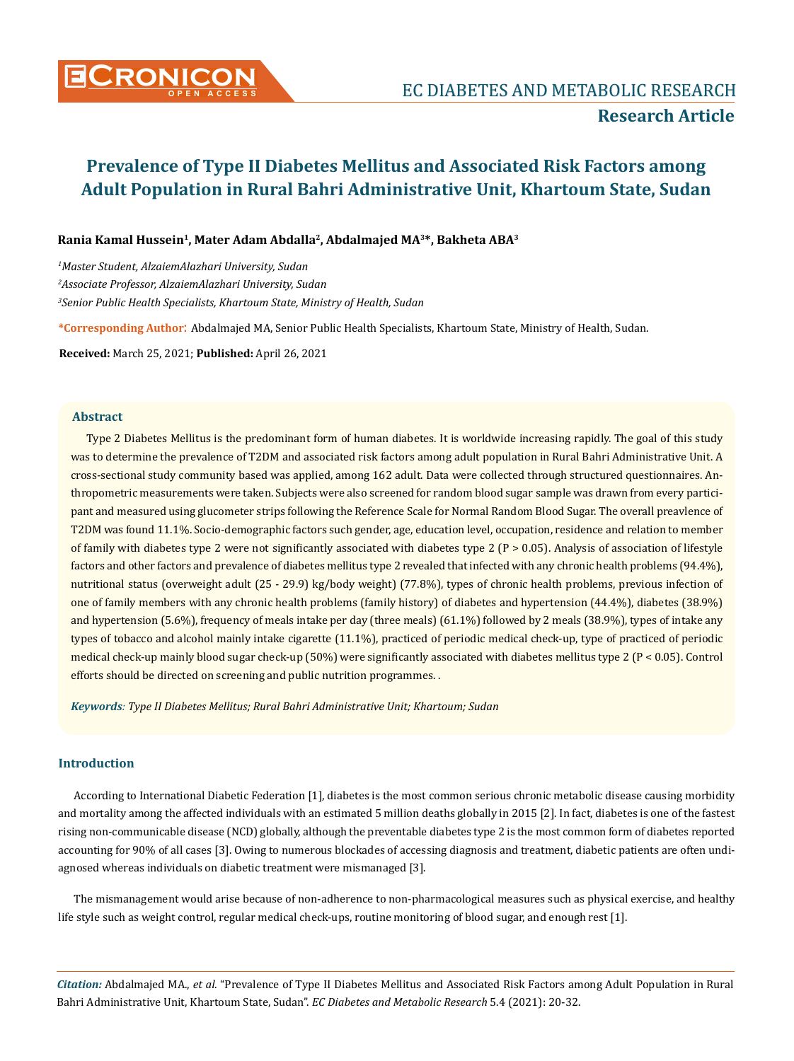

## **Research Article**

# **Prevalence of Type II Diabetes Mellitus and Associated Risk Factors among Adult Population in Rural Bahri Administrative Unit, Khartoum State, Sudan**

### **Rania Kamal Hussein1, Mater Adam Abdalla2, Abdalmajed MA3\*, Bakheta ABA3**

*1 Master Student, AlzaiemAlazhari University, Sudan 2 Associate Professor, AlzaiemAlazhari University, Sudan 3 Senior Public Health Specialists, Khartoum State, Ministry of Health, Sudan*

**\*Corresponding Author**: Abdalmajed MA, Senior Public Health Specialists, Khartoum State, Ministry of Health, Sudan.

**Received:** March 25, 2021; **Published:** April 26, 2021

### **Abstract**

Type 2 Diabetes Mellitus is the predominant form of human diabetes. It is worldwide increasing rapidly. The goal of this study was to determine the prevalence of T2DM and associated risk factors among adult population in Rural Bahri Administrative Unit. A cross-sectional study community based was applied, among 162 adult. Data were collected through structured questionnaires. Anthropometric measurements were taken. Subjects were also screened for random blood sugar sample was drawn from every participant and measured using glucometer strips following the Reference Scale for Normal Random Blood Sugar. The overall preavlence of T2DM was found 11.1%. Socio-demographic factors such gender, age, education level, occupation, residence and relation to member of family with diabetes type 2 were not significantly associated with diabetes type  $2 (P > 0.05)$ . Analysis of association of lifestyle factors and other factors and prevalence of diabetes mellitus type 2 revealed that infected with any chronic health problems (94.4%), nutritional status (overweight adult (25 - 29.9) kg/body weight) (77.8%), types of chronic health problems, previous infection of one of family members with any chronic health problems (family history) of diabetes and hypertension (44.4%), diabetes (38.9%) and hypertension (5.6%), frequency of meals intake per day (three meals) (61.1%) followed by 2 meals (38.9%), types of intake any types of tobacco and alcohol mainly intake cigarette (11.1%), practiced of periodic medical check-up, type of practiced of periodic medical check-up mainly blood sugar check-up (50%) were significantly associated with diabetes mellitus type 2 (P < 0.05). Control efforts should be directed on screening and public nutrition programmes. .

*Keywords: Type II Diabetes Mellitus; Rural Bahri Administrative Unit; Khartoum; Sudan*

### **Introduction**

According to International Diabetic Federation [1], diabetes is the most common serious chronic metabolic disease causing morbidity and mortality among the affected individuals with an estimated 5 million deaths globally in 2015 [2]. In fact, diabetes is one of the fastest rising non-communicable disease (NCD) globally, although the preventable diabetes type 2 is the most common form of diabetes reported accounting for 90% of all cases [3]. Owing to numerous blockades of accessing diagnosis and treatment, diabetic patients are often undiagnosed whereas individuals on diabetic treatment were mismanaged [3].

The mismanagement would arise because of non-adherence to non-pharmacological measures such as physical exercise, and healthy life style such as weight control, regular medical check-ups, routine monitoring of blood sugar, and enough rest [1].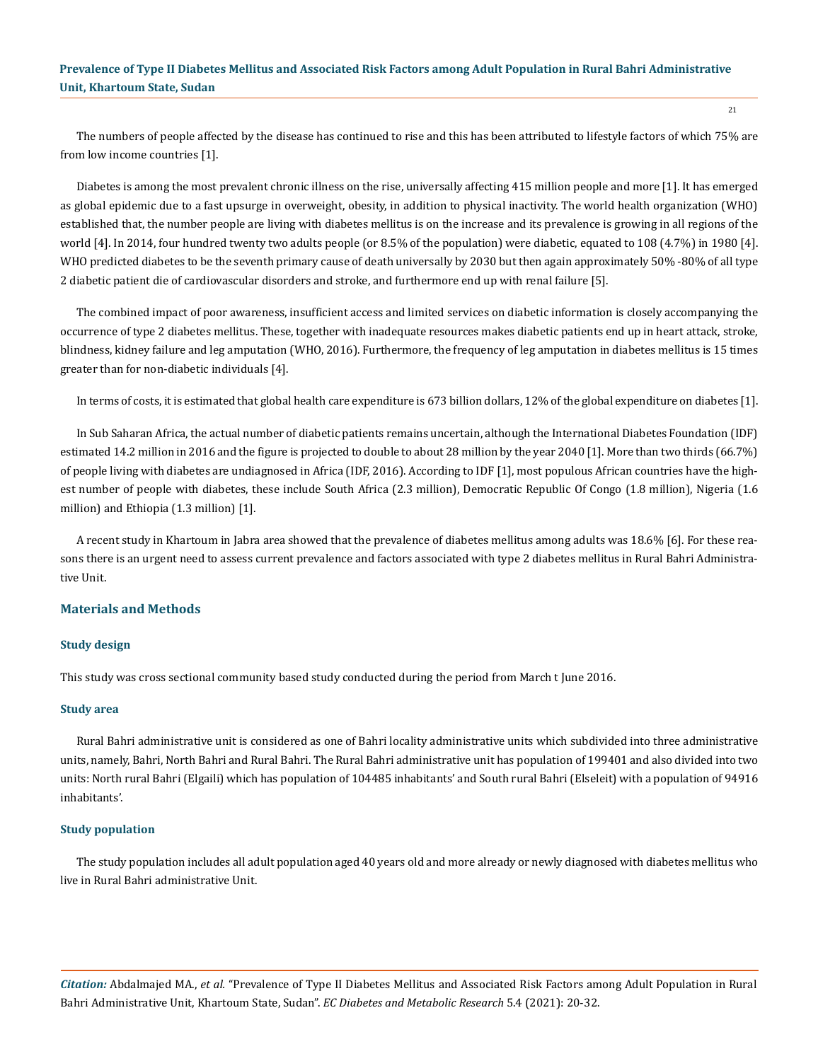The numbers of people affected by the disease has continued to rise and this has been attributed to lifestyle factors of which 75% are from low income countries [1].

Diabetes is among the most prevalent chronic illness on the rise, universally affecting 415 million people and more [1]. It has emerged as global epidemic due to a fast upsurge in overweight, obesity, in addition to physical inactivity. The world health organization (WHO) established that, the number people are living with diabetes mellitus is on the increase and its prevalence is growing in all regions of the world [4]. In 2014, four hundred twenty two adults people (or 8.5% of the population) were diabetic, equated to 108 (4.7%) in 1980 [4]. WHO predicted diabetes to be the seventh primary cause of death universally by 2030 but then again approximately 50% -80% of all type 2 diabetic patient die of cardiovascular disorders and stroke, and furthermore end up with renal failure [5].

The combined impact of poor awareness, insufficient access and limited services on diabetic information is closely accompanying the occurrence of type 2 diabetes mellitus. These, together with inadequate resources makes diabetic patients end up in heart attack, stroke, blindness, kidney failure and leg amputation (WHO, 2016). Furthermore, the frequency of leg amputation in diabetes mellitus is 15 times greater than for non-diabetic individuals [4].

In terms of costs, it is estimated that global health care expenditure is 673 billion dollars, 12% of the global expenditure on diabetes [1].

In Sub Saharan Africa, the actual number of diabetic patients remains uncertain, although the International Diabetes Foundation (IDF) estimated 14.2 million in 2016 and the figure is projected to double to about 28 million by the year 2040 [1]. More than two thirds (66.7%) of people living with diabetes are undiagnosed in Africa (IDF, 2016). According to IDF [1], most populous African countries have the highest number of people with diabetes, these include South Africa (2.3 million), Democratic Republic Of Congo (1.8 million), Nigeria (1.6 million) and Ethiopia (1.3 million) [1].

A recent study in Khartoum in Jabra area showed that the prevalence of diabetes mellitus among adults was 18.6% [6]. For these reasons there is an urgent need to assess current prevalence and factors associated with type 2 diabetes mellitus in Rural Bahri Administrative Unit.

### **Materials and Methods**

### **Study design**

This study was cross sectional community based study conducted during the period from March t June 2016.

#### **Study area**

Rural Bahri administrative unit is considered as one of Bahri locality administrative units which subdivided into three administrative units, namely, Bahri, North Bahri and Rural Bahri. The Rural Bahri administrative unit has population of 199401 and also divided into two units: North rural Bahri (Elgaili) which has population of 104485 inhabitants' and South rural Bahri (Elseleit) with a population of 94916 inhabitants'.

#### **Study population**

The study population includes all adult population aged 40 years old and more already or newly diagnosed with diabetes mellitus who live in Rural Bahri administrative Unit.

*Citation:* Abdalmajed MA., *et al.* "Prevalence of Type II Diabetes Mellitus and Associated Risk Factors among Adult Population in Rural Bahri Administrative Unit, Khartoum State, Sudan". *EC Diabetes and Metabolic Research* 5.4 (2021): 20-32.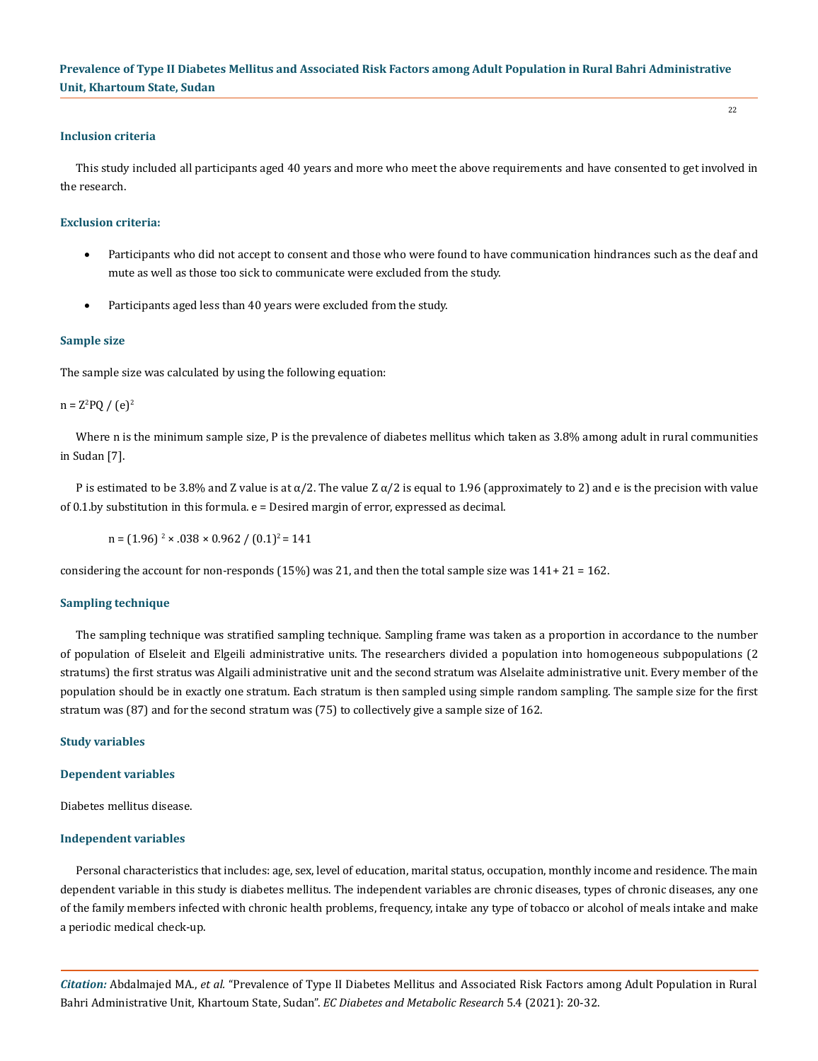### **Inclusion criteria**

This study included all participants aged 40 years and more who meet the above requirements and have consented to get involved in the research.

22

#### **Exclusion criteria:**

- Participants who did not accept to consent and those who were found to have communication hindrances such as the deaf and mute as well as those too sick to communicate were excluded from the study.
- Participants aged less than 40 years were excluded from the study.

#### **Sample size**

The sample size was calculated by using the following equation:

 $n = Z^2 PQ / (e)^2$ 

Where n is the minimum sample size, P is the prevalence of diabetes mellitus which taken as 3.8% among adult in rural communities in Sudan [7].

P is estimated to be 3.8% and Z value is at  $\alpha/2$ . The value Z  $\alpha/2$  is equal to 1.96 (approximately to 2) and e is the precision with value of 0.1.by substitution in this formula. e = Desired margin of error, expressed as decimal.

 $n = (1.96)^2 \times 0.038 \times 0.962 / (0.1)^2 = 141$ 

considering the account for non-responds  $(15%)$  was 21, and then the total sample size was  $141+21 = 162$ .

#### **Sampling technique**

The sampling technique was stratified sampling technique. Sampling frame was taken as a proportion in accordance to the number of population of Elseleit and Elgeili administrative units. The researchers divided a population into homogeneous subpopulations (2 stratums) the first stratus was Algaili administrative unit and the second stratum was Alselaite administrative unit. Every member of the population should be in exactly one stratum. Each stratum is then sampled using simple random sampling. The sample size for the first stratum was (87) and for the second stratum was (75) to collectively give a sample size of 162.

#### **Study variables**

#### **Dependent variables**

Diabetes mellitus disease.

### **Independent variables**

Personal characteristics that includes: age, sex, level of education, marital status, occupation, monthly income and residence. The main dependent variable in this study is diabetes mellitus. The independent variables are chronic diseases, types of chronic diseases, any one of the family members infected with chronic health problems, frequency, intake any type of tobacco or alcohol of meals intake and make a periodic medical check-up.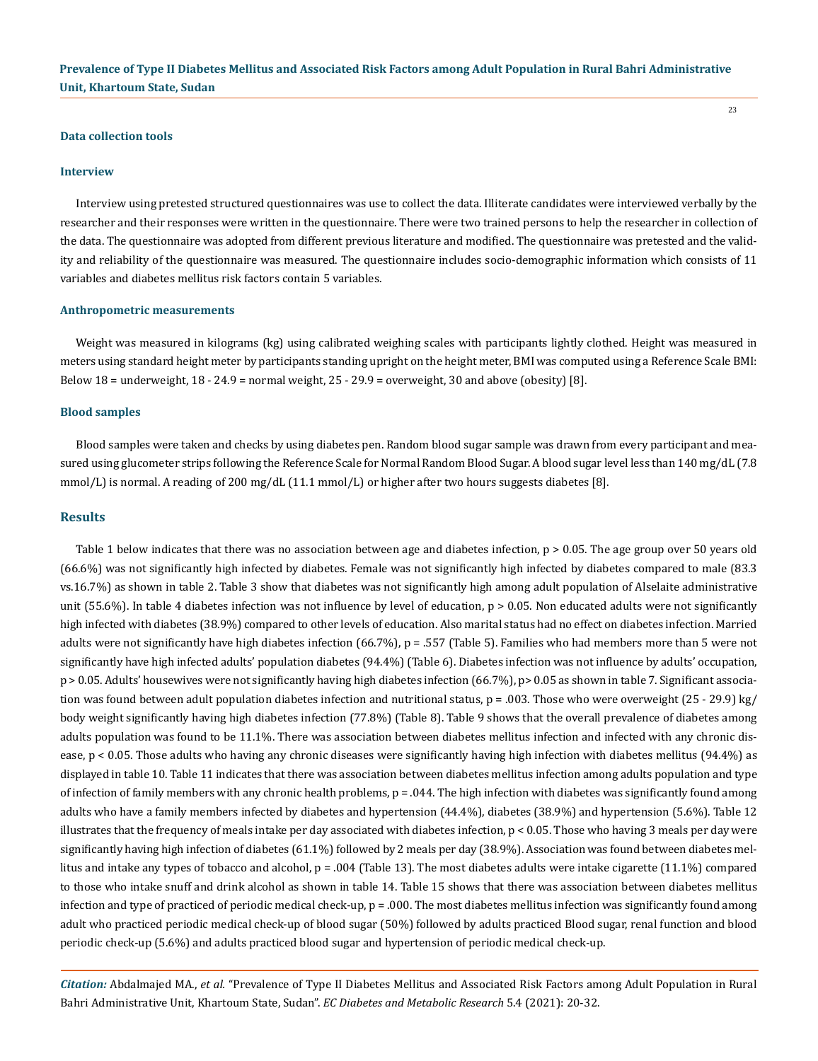23

#### **Data collection tools**

#### **Interview**

Interview using pretested structured questionnaires was use to collect the data. Illiterate candidates were interviewed verbally by the researcher and their responses were written in the questionnaire. There were two trained persons to help the researcher in collection of the data. The questionnaire was adopted from different previous literature and modified. The questionnaire was pretested and the validity and reliability of the questionnaire was measured. The questionnaire includes socio-demographic information which consists of 11 variables and diabetes mellitus risk factors contain 5 variables.

#### **Anthropometric measurements**

Weight was measured in kilograms (kg) using calibrated weighing scales with participants lightly clothed. Height was measured in meters using standard height meter by participants standing upright on the height meter, BMI was computed using a Reference Scale BMI: Below 18 = underweight, 18 - 24.9 = normal weight, 25 - 29.9 = overweight, 30 and above (obesity) [8].

#### **Blood samples**

Blood samples were taken and checks by using diabetes pen. Random blood sugar sample was drawn from every participant and measured using glucometer strips following the Reference Scale for Normal Random Blood Sugar. A blood sugar level less than 140 mg/dL (7.8 mmol/L) is normal. A reading of 200 mg/dL (11.1 mmol/L) or higher after two hours suggests diabetes [8].

### **Results**

Table 1 below indicates that there was no association between age and diabetes infection, p > 0.05. The age group over 50 years old (66.6%) was not significantly high infected by diabetes. Female was not significantly high infected by diabetes compared to male (83.3 vs.16.7%) as shown in table 2. Table 3 show that diabetes was not significantly high among adult population of Alselaite administrative unit  $(55.6%)$ . In table 4 diabetes infection was not influence by level of education,  $p > 0.05$ . Non educated adults were not significantly high infected with diabetes (38.9%) compared to other levels of education. Also marital status had no effect on diabetes infection. Married adults were not significantly have high diabetes infection (66.7%), p = .557 (Table 5). Families who had members more than 5 were not significantly have high infected adults' population diabetes (94.4%) (Table 6). Diabetes infection was not influence by adults' occupation, p > 0.05. Adults' housewives were not significantly having high diabetes infection (66.7%), p> 0.05 as shown in table 7. Significant association was found between adult population diabetes infection and nutritional status,  $p = .003$ . Those who were overweight  $(25 - 29.9)$  kg/ body weight significantly having high diabetes infection (77.8%) (Table 8). Table 9 shows that the overall prevalence of diabetes among adults population was found to be 11.1%. There was association between diabetes mellitus infection and infected with any chronic disease, p < 0.05. Those adults who having any chronic diseases were significantly having high infection with diabetes mellitus (94.4%) as displayed in table 10. Table 11 indicates that there was association between diabetes mellitus infection among adults population and type of infection of family members with any chronic health problems,  $p = 0.044$ . The high infection with diabetes was significantly found among adults who have a family members infected by diabetes and hypertension (44.4%), diabetes (38.9%) and hypertension (5.6%). Table 12 illustrates that the frequency of meals intake per day associated with diabetes infection,  $p < 0.05$ . Those who having 3 meals per day were significantly having high infection of diabetes (61.1%) followed by 2 meals per day (38.9%). Association was found between diabetes mellitus and intake any types of tobacco and alcohol, p = .004 (Table 13). The most diabetes adults were intake cigarette (11.1%) compared to those who intake snuff and drink alcohol as shown in table 14. Table 15 shows that there was association between diabetes mellitus infection and type of practiced of periodic medical check-up,  $p = 0.00$ . The most diabetes mellitus infection was significantly found among adult who practiced periodic medical check-up of blood sugar (50%) followed by adults practiced Blood sugar, renal function and blood periodic check-up (5.6%) and adults practiced blood sugar and hypertension of periodic medical check-up.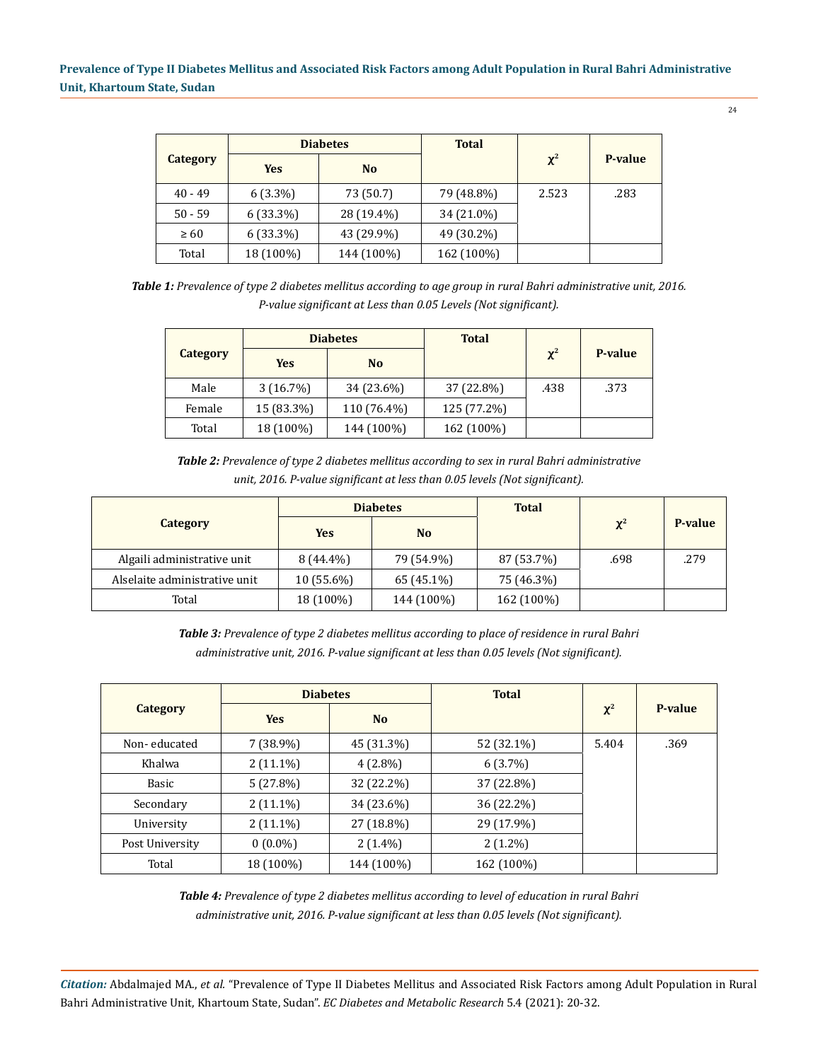|                 | <b>Diabetes</b> |                | <b>Total</b> |          |                |
|-----------------|-----------------|----------------|--------------|----------|----------------|
| <b>Category</b> | <b>Yes</b>      | N <sub>o</sub> |              | $\chi^2$ | <b>P-value</b> |
| $40 - 49$       | 6 (3.3%)        | 73 (50.7)      | 79 (48.8%)   | 2.523    | .283           |
| $50 - 59$       | 6 (33.3%)       | 28 (19.4%)     | 34 (21.0%)   |          |                |
| $\geq 60$       | $6(33.3\%)$     | 43 (29.9%)     | 49 (30.2%)   |          |                |
| Total           | 18 (100%)       | 144 (100%)     | 162 (100%)   |          |                |

*Table 1: Prevalence of type 2 diabetes mellitus according to age group in rural Bahri administrative unit, 2016. P-value significant at Less than 0.05 Levels (Not significant).*

|          | <b>Diabetes</b> |                | <b>Total</b> |          |         |  |
|----------|-----------------|----------------|--------------|----------|---------|--|
| Category | <b>Yes</b>      | N <sub>0</sub> |              | $\chi^2$ | P-value |  |
| Male     | $3(16.7\%)$     | 34 (23.6%)     | 37 (22.8%)   | .438     | .373    |  |
| Female   | 15 (83.3%)      | 110 (76.4%)    | 125 (77.2%)  |          |         |  |
| Total    | 18 (100%)       | 144 (100%)     | 162 (100%)   |          |         |  |

*Table 2: Prevalence of type 2 diabetes mellitus according to sex in rural Bahri administrative unit, 2016. P-value significant at less than 0.05 levels (Not significant).*

|                               | <b>Diabetes</b> |                | <b>Total</b> |          |                |
|-------------------------------|-----------------|----------------|--------------|----------|----------------|
| <b>Category</b>               | <b>Yes</b>      | N <sub>o</sub> |              | $\chi^2$ | <b>P-value</b> |
| Algaili administrative unit   | $8(44.4\%)$     | 79 (54.9%)     | 87 (53.7%)   | .698     | .279           |
| Alselaite administrative unit | $10(55.6\%)$    | 65 (45.1%)     | 75 (46.3%)   |          |                |
| Total                         | 18 (100%)       | 144 (100%)     | 162 (100%)   |          |                |

*Table 3: Prevalence of type 2 diabetes mellitus according to place of residence in rural Bahri administrative unit, 2016. P-value significant at less than 0.05 levels (Not significant).*

|                 | <b>Diabetes</b> |                | <b>Total</b> |          |         |
|-----------------|-----------------|----------------|--------------|----------|---------|
| Category        | <b>Yes</b>      | N <sub>o</sub> |              | $\chi^2$ | P-value |
| Non-educated    | $7(38.9\%)$     | 45 (31.3%)     | 52 (32.1%)   | 5.404    | .369    |
| Khalwa          | $2(11.1\%)$     | $4(2.8\%)$     | $6(3.7\%)$   |          |         |
| Basic           | 5(27.8%)        | 32 (22.2%)     | 37 (22.8%)   |          |         |
| Secondary       | $2(11.1\%)$     | 34 (23.6%)     | 36 (22.2%)   |          |         |
| University      | $2(11.1\%)$     | 27 (18.8%)     | 29 (17.9%)   |          |         |
| Post University | $0(0.0\%)$      | $2(1.4\%)$     | $2(1.2\%)$   |          |         |
| Total           | 18 (100%)       | 144 (100%)     | 162 (100%)   |          |         |

*Table 4: Prevalence of type 2 diabetes mellitus according to level of education in rural Bahri administrative unit, 2016. P-value significant at less than 0.05 levels (Not significant).*

*Citation:* Abdalmajed MA., *et al.* "Prevalence of Type II Diabetes Mellitus and Associated Risk Factors among Adult Population in Rural Bahri Administrative Unit, Khartoum State, Sudan". *EC Diabetes and Metabolic Research* 5.4 (2021): 20-32.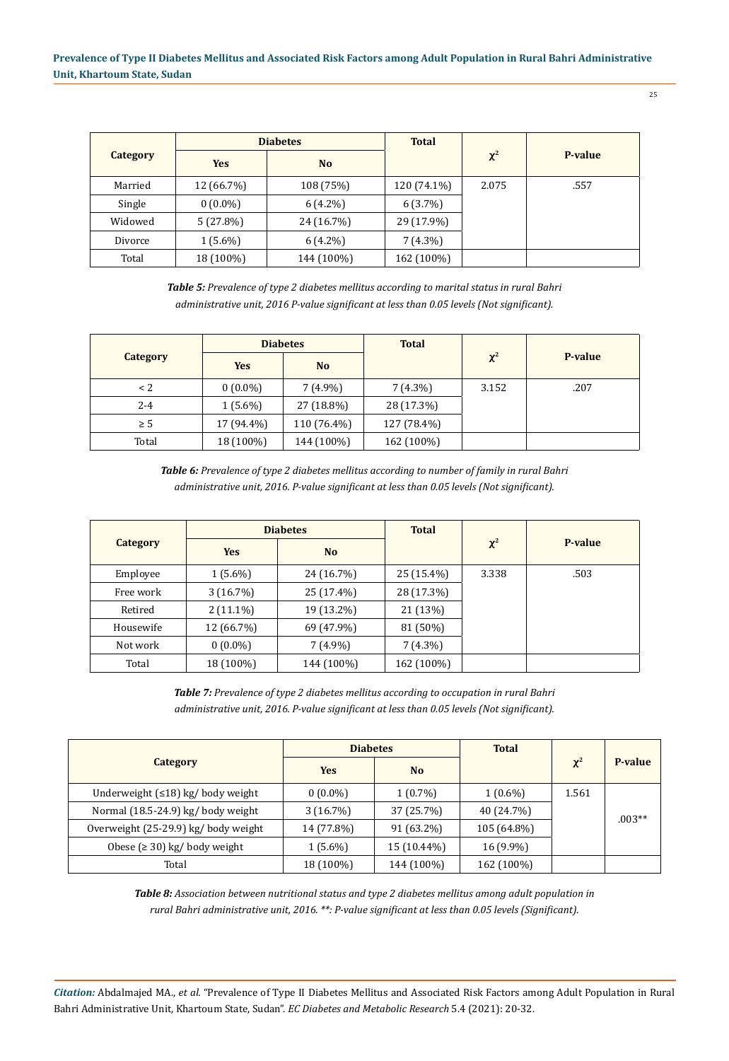| ۰. |  |
|----|--|
|    |  |

|          |            | <b>Diabetes</b> | <b>Total</b> |          |         |
|----------|------------|-----------------|--------------|----------|---------|
| Category | <b>Yes</b> | N <sub>o</sub>  |              | $\chi^2$ | P-value |
| Married  | 12 (66.7%) | 108 (75%)       | 120 (74.1%)  | 2.075    | .557    |
| Single   | $0(0.0\%)$ | $6(4.2\%)$      | 6(3.7%)      |          |         |
| Widowed  | 5(27.8%)   | 24 (16.7%)      | 29 (17.9%)   |          |         |
| Divorce  | $1(5.6\%)$ | $6(4.2\%)$      | $7(4.3\%)$   |          |         |
| Total    | 18 (100%)  | 144 (100%)      | 162 (100%)   |          |         |

*Table 5: Prevalence of type 2 diabetes mellitus according to marital status in rural Bahri administrative unit, 2016 P-value significant at less than 0.05 levels (Not significant).*

|          | <b>Diabetes</b> |                | <b>Total</b> |          |         |
|----------|-----------------|----------------|--------------|----------|---------|
| Category | <b>Yes</b>      | N <sub>o</sub> |              | $\chi^2$ | P-value |
| $\leq$ 2 | $0(0.0\%)$      | $7(4.9\%)$     | $7(4.3\%)$   | 3.152    | .207    |
| 2-4      | $1(5.6\%)$      | 27 (18.8%)     | 28 (17.3%)   |          |         |
| $\geq 5$ | 17 (94.4%)      | 110 (76.4%)    | 127 (78.4%)  |          |         |
| Total    | 18 (100%)       | 144 (100%)     | 162 (100%)   |          |         |

*Table 6: Prevalence of type 2 diabetes mellitus according to number of family in rural Bahri administrative unit, 2016. P-value significant at less than 0.05 levels (Not significant).*

|           | <b>Diabetes</b> |                | <b>Total</b> |          |         |  |
|-----------|-----------------|----------------|--------------|----------|---------|--|
| Category  | <b>Yes</b>      | N <sub>o</sub> |              | $\chi^2$ | P-value |  |
| Employee  | $1(5.6\%)$      | 24 (16.7%)     | $25(15.4\%)$ | 3.338    | .503    |  |
| Free work | 3(16.7%)        | 25 (17.4%)     | 28 (17.3%)   |          |         |  |
| Retired   | $2(11.1\%)$     | 19 (13.2%)     | 21 (13%)     |          |         |  |
| Housewife | 12 (66.7%)      | 69 (47.9%)     | 81 (50%)     |          |         |  |
| Not work  | $0(0.0\%)$      | $7(4.9\%)$     | $7(4.3\%)$   |          |         |  |
| Total     | 18 (100%)       | 144 (100%)     | 162 (100%)   |          |         |  |

*Table 7: Prevalence of type 2 diabetes mellitus according to occupation in rural Bahri administrative unit, 2016. P-value significant at less than 0.05 levels (Not significant).*

|                                      | <b>Diabetes</b> |             | <b>Total</b> |          |          |
|--------------------------------------|-----------------|-------------|--------------|----------|----------|
| <b>Category</b>                      | <b>Yes</b>      | <b>No</b>   |              | $\chi^2$ | P-value  |
| Underweight (≤18) kg/ body weight    | $0(0.0\%)$      | $1(0.7\%)$  | $1(0.6\%)$   | 1.561    |          |
| Normal (18.5-24.9) kg/ body weight   | 3(16.7%)        | 37 (25.7%)  | 40 (24.7%)   |          | $.003**$ |
| Overweight (25-29.9) kg/ body weight | 14 (77.8%)      | 91 (63.2%)  | 105 (64.8%)  |          |          |
| Obese ( $\geq$ 30) kg/ body weight   | $1(5.6\%)$      | 15 (10.44%) | 16 (9.9%)    |          |          |
| Total                                | 18 (100%)       | 144 (100%)  | 162 (100%)   |          |          |

*Table 8: Association between nutritional status and type 2 diabetes mellitus among adult population in rural Bahri administrative unit, 2016. \*\*: P-value significant at less than 0.05 levels (Significant).*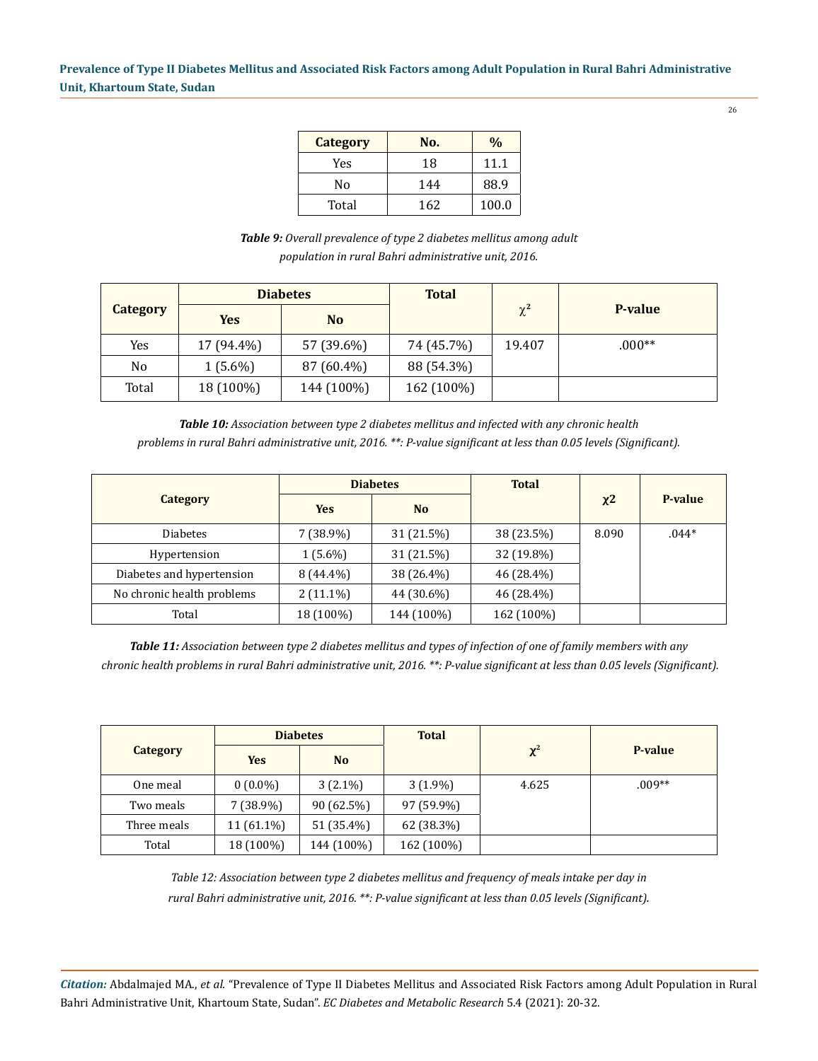26

| <b>Category</b> | No. | $\sqrt{0}$ |
|-----------------|-----|------------|
| Yes             | 18  | 11.1       |
| No              | 144 | 88.9       |
| Total           | 162 | 100.0      |

*Table 9: Overall prevalence of type 2 diabetes mellitus among adult population in rural Bahri administrative unit, 2016.*

|                 | <b>Diabetes</b> |                | <b>Total</b> |          |                |  |
|-----------------|-----------------|----------------|--------------|----------|----------------|--|
| <b>Category</b> | <b>Yes</b>      | N <sub>o</sub> |              | $\chi^2$ | <b>P-value</b> |  |
| Yes             | 17 (94.4%)      | 57 (39.6%)     | 74 (45.7%)   | 19.407   | $.000**$       |  |
| No.             | $1(5.6\%)$      | 87 (60.4%)     | 88 (54.3%)   |          |                |  |
| Total           | 18 (100%)       | 144 (100%)     | 162 (100%)   |          |                |  |

*Table 10: Association between type 2 diabetes mellitus and infected with any chronic health problems in rural Bahri administrative unit, 2016. \*\*: P-value significant at less than 0.05 levels (Significant).*

|                            | <b>Diabetes</b> |            | <b>Total</b> |       |         |
|----------------------------|-----------------|------------|--------------|-------|---------|
| Category                   | <b>Yes</b>      | <b>No</b>  |              | $x^2$ | P-value |
| <b>Diabetes</b>            | $7(38.9\%)$     | 31 (21.5%) | 38 (23.5%)   | 8.090 | $.044*$ |
| Hypertension               | $1(5.6\%)$      | 31 (21.5%) | 32 (19.8%)   |       |         |
| Diabetes and hypertension  | $8(44.4\%)$     | 38 (26.4%) | 46 (28.4%)   |       |         |
| No chronic health problems | $2(11.1\%)$     | 44 (30.6%) | 46 (28.4%)   |       |         |
| Total                      | 18 (100%)       | 144 (100%) | 162 (100%)   |       |         |

*Table 11: Association between type 2 diabetes mellitus and types of infection of one of family members with any chronic health problems in rural Bahri administrative unit, 2016. \*\*: P-value significant at less than 0.05 levels (Significant).*

|                 | <b>Diabetes</b> |                | <b>Total</b> |          |          |  |
|-----------------|-----------------|----------------|--------------|----------|----------|--|
| <b>Category</b> | <b>Yes</b>      | N <sub>o</sub> |              | $\chi^2$ | P-value  |  |
| One meal        | $0(0.0\%)$      | $3(2.1\%)$     | $3(1.9\%)$   | 4.625    | $.009**$ |  |
| Two meals       | $7(38.9\%)$     | 90(62.5%)      | 97 (59.9%)   |          |          |  |
| Three meals     | 11 (61.1%)      | 51 (35.4%)     | 62 (38.3%)   |          |          |  |
| Total           | 18 (100%)       | 144 (100%)     | 162 (100%)   |          |          |  |

*Table 12: Association between type 2 diabetes mellitus and frequency of meals intake per day in rural Bahri administrative unit, 2016. \*\*: P-value significant at less than 0.05 levels (Significant).*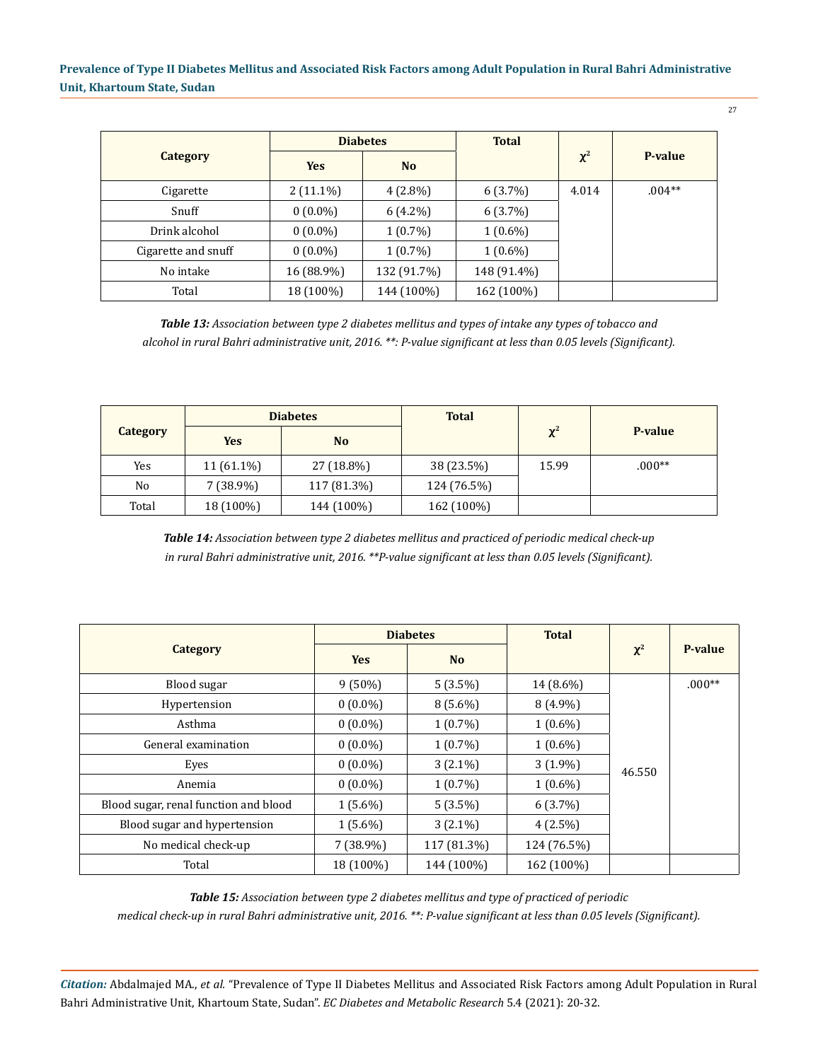|                     | <b>Diabetes</b> |                | <b>Total</b> |          |          |
|---------------------|-----------------|----------------|--------------|----------|----------|
| Category            | <b>Yes</b>      | N <sub>o</sub> |              | $\chi^2$ | P-value  |
| Cigarette           | $2(11.1\%)$     | $4(2.8\%)$     | $6(3.7\%)$   | 4.014    | $.004**$ |
| Snuff               | $0(0.0\%)$      | 6 (4.2%)       | $6(3.7\%)$   |          |          |
| Drink alcohol       | $0(0.0\%)$      | $1(0.7\%)$     | $1(0.6\%)$   |          |          |
| Cigarette and snuff | $0(0.0\%)$      | $1(0.7\%)$     | $1(0.6\%)$   |          |          |
| No intake           | 16 (88.9%)      | 132 (91.7%)    | 148 (91.4%)  |          |          |
| Total               | 18 (100%)       | 144 (100%)     | 162 (100%)   |          |          |

*Table 13: Association between type 2 diabetes mellitus and types of intake any types of tobacco and alcohol in rural Bahri administrative unit, 2016. \*\*: P-value significant at less than 0.05 levels (Significant).*

|                | <b>Diabetes</b> |                | <b>Total</b> |          |          |  |
|----------------|-----------------|----------------|--------------|----------|----------|--|
| Category       | Yes             | N <sub>o</sub> |              | $\chi^2$ | P-value  |  |
| Yes            | 11 (61.1%)      | 27 (18.8%)     | 38 (23.5%)   | 15.99    | $.000**$ |  |
| N <sub>0</sub> | $7(38.9\%)$     | 117 (81.3%)    | 124 (76.5%)  |          |          |  |
| Total          | 18 (100%)       | 144 (100%)     | 162 (100%)   |          |          |  |

*Table 14: Association between type 2 diabetes mellitus and practiced of periodic medical check-up in rural Bahri administrative unit, 2016. \*\*P-value significant at less than 0.05 levels (Significant).*

|                                       | <b>Diabetes</b> |                | <b>Total</b> |          |          |
|---------------------------------------|-----------------|----------------|--------------|----------|----------|
| Category                              | <b>Yes</b>      | N <sub>o</sub> |              | $\chi^2$ | P-value  |
| Blood sugar                           | $9(50\%)$       | $5(3.5\%)$     | 14 (8.6%)    |          | $.000**$ |
| Hypertension                          | $0(0.0\%)$      | $8(5.6\%)$     | $8(4.9\%)$   |          |          |
| Asthma                                | $0(0.0\%)$      | $1(0.7\%)$     | $1(0.6\%)$   | 46.550   |          |
| General examination                   | $0(0.0\%)$      | $1(0.7\%)$     | $1(0.6\%)$   |          |          |
| Eyes                                  | $0(0.0\%)$      | $3(2.1\%)$     | $3(1.9\%)$   |          |          |
| Anemia                                | $0(0.0\%)$      | $1(0.7\%)$     | $1(0.6\%)$   |          |          |
| Blood sugar, renal function and blood | $1(5.6\%)$      | $5(3.5\%)$     | $6(3.7\%)$   |          |          |
| Blood sugar and hypertension          | $1(5.6\%)$      | $3(2.1\%)$     | $4(2.5\%)$   |          |          |
| No medical check-up                   | $7(38.9\%)$     | 117 (81.3%)    | 124 (76.5%)  |          |          |
| Total                                 | 18 (100%)       | 144 (100%)     | 162 (100%)   |          |          |

*Table 15: Association between type 2 diabetes mellitus and type of practiced of periodic* 

*medical check-up in rural Bahri administrative unit, 2016. \*\*: P-value significant at less than 0.05 levels (Significant).*

*Citation:* Abdalmajed MA., *et al.* "Prevalence of Type II Diabetes Mellitus and Associated Risk Factors among Adult Population in Rural Bahri Administrative Unit, Khartoum State, Sudan". *EC Diabetes and Metabolic Research* 5.4 (2021): 20-32.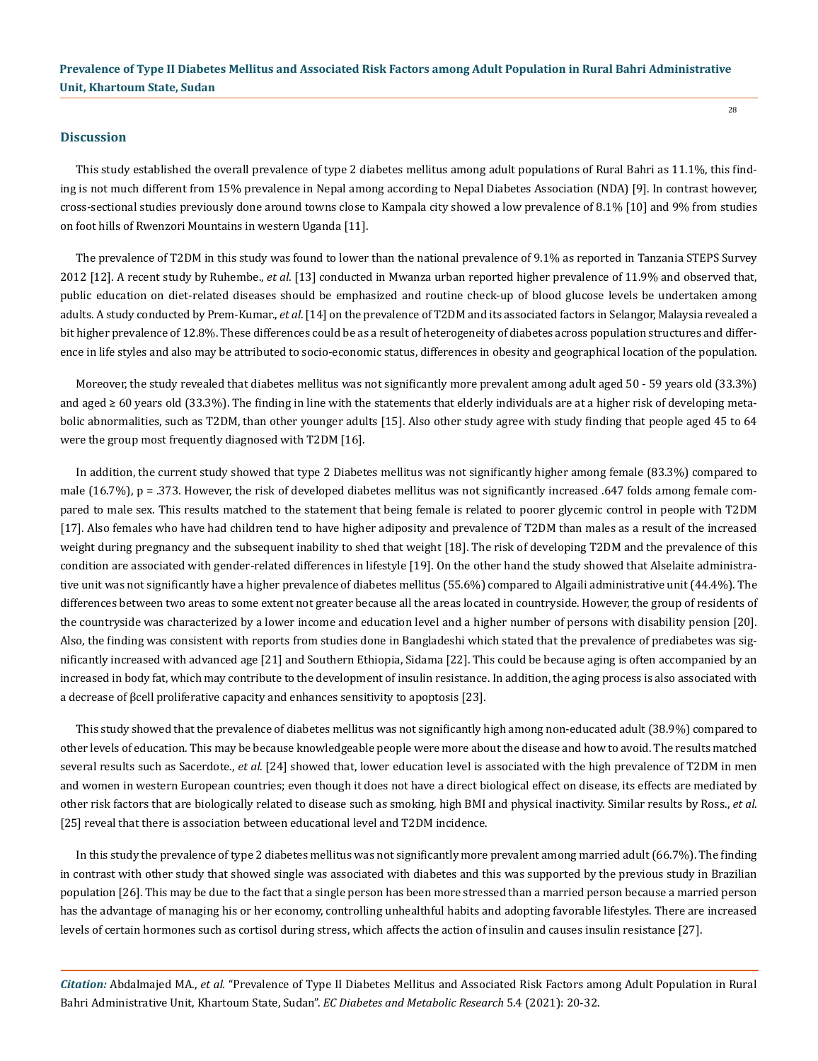#### **Discussion**

This study established the overall prevalence of type 2 diabetes mellitus among adult populations of Rural Bahri as 11.1%, this finding is not much different from 15% prevalence in Nepal among according to Nepal Diabetes Association (NDA) [9]. In contrast however, cross-sectional studies previously done around towns close to Kampala city showed a low prevalence of 8.1% [10] and 9% from studies on foot hills of Rwenzori Mountains in western Uganda [11].

The prevalence of T2DM in this study was found to lower than the national prevalence of 9.1% as reported in Tanzania STEPS Survey 2012 [12]. A recent study by Ruhembe., *et al*. [13] conducted in Mwanza urban reported higher prevalence of 11.9% and observed that, public education on diet-related diseases should be emphasized and routine check-up of blood glucose levels be undertaken among adults. A study conducted by Prem-Kumar., *et al*. [14] on the prevalence of T2DM and its associated factors in Selangor, Malaysia revealed a bit higher prevalence of 12.8%. These differences could be as a result of heterogeneity of diabetes across population structures and difference in life styles and also may be attributed to socio-economic status, differences in obesity and geographical location of the population.

Moreover, the study revealed that diabetes mellitus was not significantly more prevalent among adult aged 50 - 59 years old (33.3%) and aged ≥ 60 years old (33.3%). The finding in line with the statements that elderly individuals are at a higher risk of developing metabolic abnormalities, such as T2DM, than other younger adults [15]. Also other study agree with study finding that people aged 45 to 64 were the group most frequently diagnosed with T2DM [16].

In addition, the current study showed that type 2 Diabetes mellitus was not significantly higher among female (83.3%) compared to male (16.7%),  $p = 0.373$ . However, the risk of developed diabetes mellitus was not significantly increased .647 folds among female compared to male sex. This results matched to the statement that being female is related to poorer glycemic control in people with T2DM [17]. Also females who have had children tend to have higher adiposity and prevalence of T2DM than males as a result of the increased weight during pregnancy and the subsequent inability to shed that weight [18]. The risk of developing T2DM and the prevalence of this condition are associated with gender-related differences in lifestyle [19]. On the other hand the study showed that Alselaite administrative unit was not significantly have a higher prevalence of diabetes mellitus (55.6%) compared to Algaili administrative unit (44.4%). The differences between two areas to some extent not greater because all the areas located in countryside. However, the group of residents of the countryside was characterized by a lower income and education level and a higher number of persons with disability pension [20]. Also, the finding was consistent with reports from studies done in Bangladeshi which stated that the prevalence of prediabetes was significantly increased with advanced age [21] and Southern Ethiopia, Sidama [22]. This could be because aging is often accompanied by an increased in body fat, which may contribute to the development of insulin resistance. In addition, the aging process is also associated with a decrease of βcell proliferative capacity and enhances sensitivity to apoptosis [23].

This study showed that the prevalence of diabetes mellitus was not significantly high among non-educated adult (38.9%) compared to other levels of education. This may be because knowledgeable people were more about the disease and how to avoid. The results matched several results such as Sacerdote., *et al*. [24] showed that, lower education level is associated with the high prevalence of T2DM in men and women in western European countries; even though it does not have a direct biological effect on disease, its effects are mediated by other risk factors that are biologically related to disease such as smoking, high BMI and physical inactivity. Similar results by Ross., *et al*. [25] reveal that there is association between educational level and T2DM incidence.

In this study the prevalence of type 2 diabetes mellitus was not significantly more prevalent among married adult (66.7%). The finding in contrast with other study that showed single was associated with diabetes and this was supported by the previous study in Brazilian population [26]. This may be due to the fact that a single person has been more stressed than a married person because a married person has the advantage of managing his or her economy, controlling unhealthful habits and adopting favorable lifestyles. There are increased levels of certain hormones such as cortisol during stress, which affects the action of insulin and causes insulin resistance [27].

*Citation:* Abdalmajed MA., *et al.* "Prevalence of Type II Diabetes Mellitus and Associated Risk Factors among Adult Population in Rural Bahri Administrative Unit, Khartoum State, Sudan". *EC Diabetes and Metabolic Research* 5.4 (2021): 20-32.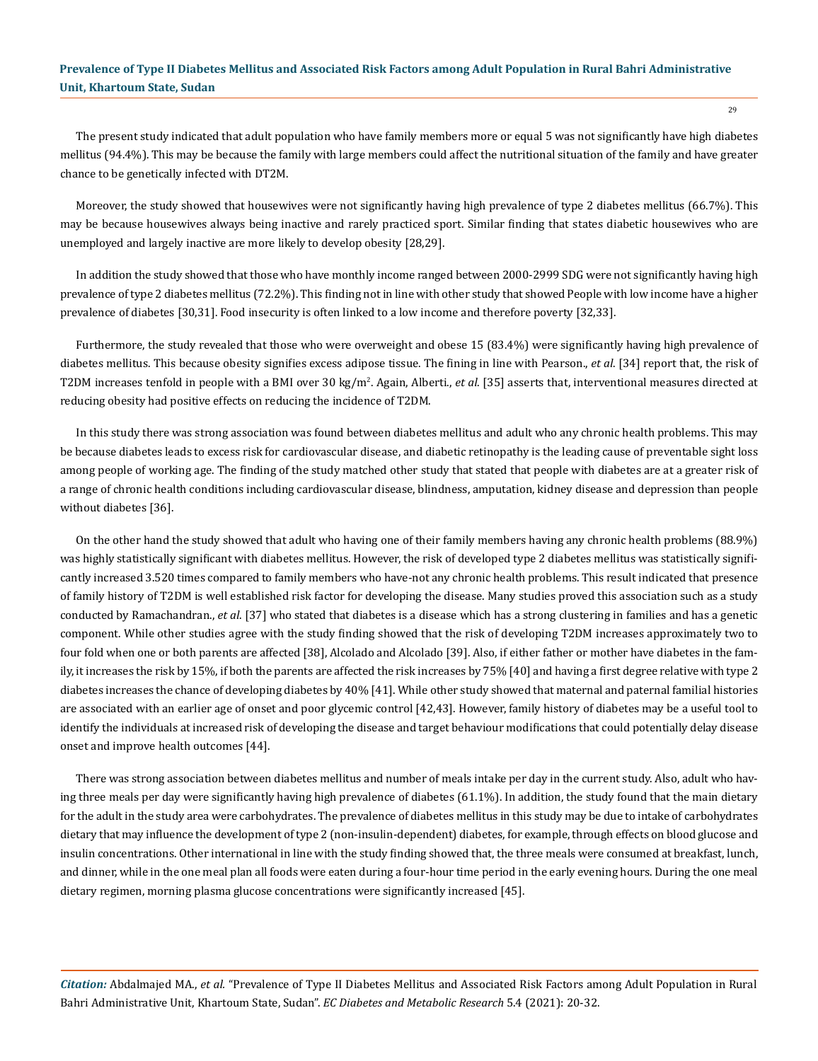The present study indicated that adult population who have family members more or equal 5 was not significantly have high diabetes mellitus (94.4%). This may be because the family with large members could affect the nutritional situation of the family and have greater chance to be genetically infected with DT2M.

Moreover, the study showed that housewives were not significantly having high prevalence of type 2 diabetes mellitus (66.7%). This may be because housewives always being inactive and rarely practiced sport. Similar finding that states diabetic housewives who are unemployed and largely inactive are more likely to develop obesity [28,29].

In addition the study showed that those who have monthly income ranged between 2000-2999 SDG were not significantly having high prevalence of type 2 diabetes mellitus (72.2%). This finding not in line with other study that showed People with low income have a higher prevalence of diabetes [30,31]. Food insecurity is often linked to a low income and therefore poverty [32,33].

Furthermore, the study revealed that those who were overweight and obese 15 (83.4%) were significantly having high prevalence of diabetes mellitus. This because obesity signifies excess adipose tissue. The fining in line with Pearson., *et al*. [34] report that, the risk of T2DM increases tenfold in people with a BMI over 30 kg/m<sup>2</sup>. Again, Alberti., *et al*. [35] asserts that, interventional measures directed at reducing obesity had positive effects on reducing the incidence of T2DM.

In this study there was strong association was found between diabetes mellitus and adult who any chronic health problems. This may be because diabetes leads to excess risk for cardiovascular disease, and diabetic retinopathy is the leading cause of preventable sight loss among people of working age. The finding of the study matched other study that stated that people with diabetes are at a greater risk of a range of chronic health conditions including cardiovascular disease, blindness, amputation, kidney disease and depression than people without diabetes [36].

On the other hand the study showed that adult who having one of their family members having any chronic health problems (88.9%) was highly statistically significant with diabetes mellitus. However, the risk of developed type 2 diabetes mellitus was statistically significantly increased 3.520 times compared to family members who have-not any chronic health problems. This result indicated that presence of family history of T2DM is well established risk factor for developing the disease. Many studies proved this association such as a study conducted by Ramachandran., *et al*. [37] who stated that diabetes is a disease which has a strong clustering in families and has a genetic component. While other studies agree with the study finding showed that the risk of developing T2DM increases approximately two to four fold when one or both parents are affected [38], Alcolado and Alcolado [39]. Also, if either father or mother have diabetes in the family, it increases the risk by 15%, if both the parents are affected the risk increases by 75% [40] and having a first degree relative with type 2 diabetes increases the chance of developing diabetes by 40% [41]. While other study showed that maternal and paternal familial histories are associated with an earlier age of onset and poor glycemic control [42,43]. However, family history of diabetes may be a useful tool to identify the individuals at increased risk of developing the disease and target behaviour modifications that could potentially delay disease onset and improve health outcomes [44].

There was strong association between diabetes mellitus and number of meals intake per day in the current study. Also, adult who having three meals per day were significantly having high prevalence of diabetes (61.1%). In addition, the study found that the main dietary for the adult in the study area were carbohydrates. The prevalence of diabetes mellitus in this study may be due to intake of carbohydrates dietary that may influence the development of type 2 (non-insulin-dependent) diabetes, for example, through effects on blood glucose and insulin concentrations. Other international in line with the study finding showed that, the three meals were consumed at breakfast, lunch, and dinner, while in the one meal plan all foods were eaten during a four-hour time period in the early evening hours. During the one meal dietary regimen, morning plasma glucose concentrations were significantly increased [45].

*Citation:* Abdalmajed MA., *et al.* "Prevalence of Type II Diabetes Mellitus and Associated Risk Factors among Adult Population in Rural Bahri Administrative Unit, Khartoum State, Sudan". *EC Diabetes and Metabolic Research* 5.4 (2021): 20-32.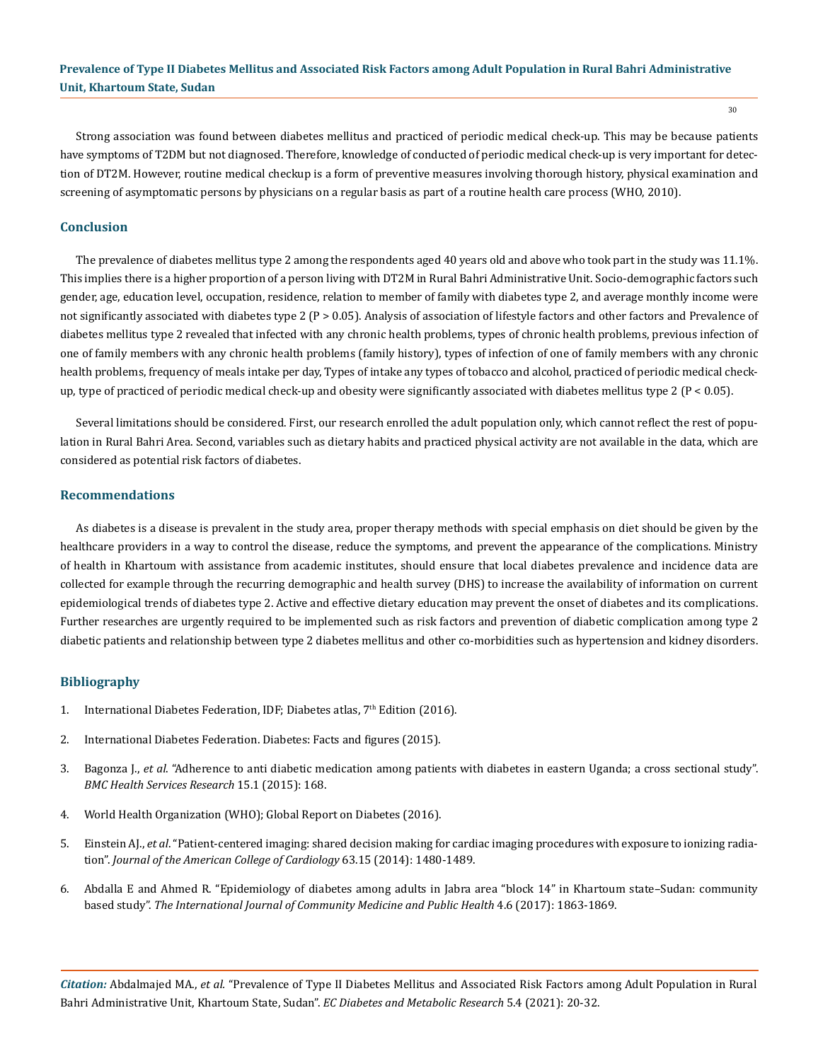Strong association was found between diabetes mellitus and practiced of periodic medical check-up. This may be because patients have symptoms of T2DM but not diagnosed. Therefore, knowledge of conducted of periodic medical check-up is very important for detection of DT2M. However, routine medical checkup is a form of preventive measures involving thorough history, physical examination and screening of asymptomatic persons by physicians on a regular basis as part of a routine health care process (WHO, 2010).

### **Conclusion**

The prevalence of diabetes mellitus type 2 among the respondents aged 40 years old and above who took part in the study was 11.1%. This implies there is a higher proportion of a person living with DT2M in Rural Bahri Administrative Unit. Socio-demographic factors such gender, age, education level, occupation, residence, relation to member of family with diabetes type 2, and average monthly income were not significantly associated with diabetes type  $2 (P > 0.05)$ . Analysis of association of lifestyle factors and other factors and Prevalence of diabetes mellitus type 2 revealed that infected with any chronic health problems, types of chronic health problems, previous infection of one of family members with any chronic health problems (family history), types of infection of one of family members with any chronic health problems, frequency of meals intake per day, Types of intake any types of tobacco and alcohol, practiced of periodic medical checkup, type of practiced of periodic medical check-up and obesity were significantly associated with diabetes mellitus type 2 ( $P < 0.05$ ).

Several limitations should be considered. First, our research enrolled the adult population only, which cannot reflect the rest of population in Rural Bahri Area. Second, variables such as dietary habits and practiced physical activity are not available in the data, which are considered as potential risk factors of diabetes.

#### **Recommendations**

As diabetes is a disease is prevalent in the study area, proper therapy methods with special emphasis on diet should be given by the healthcare providers in a way to control the disease, reduce the symptoms, and prevent the appearance of the complications. Ministry of health in Khartoum with assistance from academic institutes, should ensure that local diabetes prevalence and incidence data are collected for example through the recurring demographic and health survey (DHS) to increase the availability of information on current epidemiological trends of diabetes type 2. Active and effective dietary education may prevent the onset of diabetes and its complications. Further researches are urgently required to be implemented such as risk factors and prevention of diabetic complication among type 2 diabetic patients and relationship between type 2 diabetes mellitus and other co-morbidities such as hypertension and kidney disorders.

#### **Bibliography**

- 1. [International Diabetes Federation, IDF; Diabetes atlas, 7](https://www.diabetesatlas.org/upload/resources/previous/files/7/IDF%20Diabetes%20Atlas%207th.pdf)<sup>th</sup> Edition (2016).
- 2. [International Diabetes Federation. Diabetes: Facts and figures \(2015\).](https://www.idf.org/search.html?searchword=prevalence&ordering=newest&searchphrase=all&limit=100.)
- 3. Bagonza J., *et al*[. "Adherence to anti diabetic medication among patients with diabetes in eastern Uganda; a cross sectional study".](https://pubmed.ncbi.nlm.nih.gov/25898973/) *[BMC Health Services Research](https://pubmed.ncbi.nlm.nih.gov/25898973/)* 15.1 (2015): 168.
- 4. [World Health Organization \(WHO\); Global Report on Diabetes \(2016\).](https://apps.who.int/iris/bitstream/handle/10665/204871/9789241565257_eng.pdf;jsessionid=56B602F9821BE924272CF3DE027F000A?sequence=1)
- 5. Einstein AJ., *et al*[. "Patient-centered imaging: shared decision making for cardiac imaging procedures with exposure to ionizing radia](https://pubmed.ncbi.nlm.nih.gov/24530677/)tion". *[Journal of the American College of Cardiology](https://pubmed.ncbi.nlm.nih.gov/24530677/)* 63.15 (2014): 1480-1489.
- 6. [Abdalla E and Ahmed R. "Epidemiology of diabetes among adults in Jabra area "block 14" in Khartoum state–Sudan: community](https://www.ijcmph.com/index.php/ijcmph/article/view/1361) based study". *[The International Journal of Community Medicine and Public Health](https://www.ijcmph.com/index.php/ijcmph/article/view/1361)* 4.6 (2017): 1863-1869.

*Citation:* Abdalmajed MA., *et al.* "Prevalence of Type II Diabetes Mellitus and Associated Risk Factors among Adult Population in Rural Bahri Administrative Unit, Khartoum State, Sudan". *EC Diabetes and Metabolic Research* 5.4 (2021): 20-32.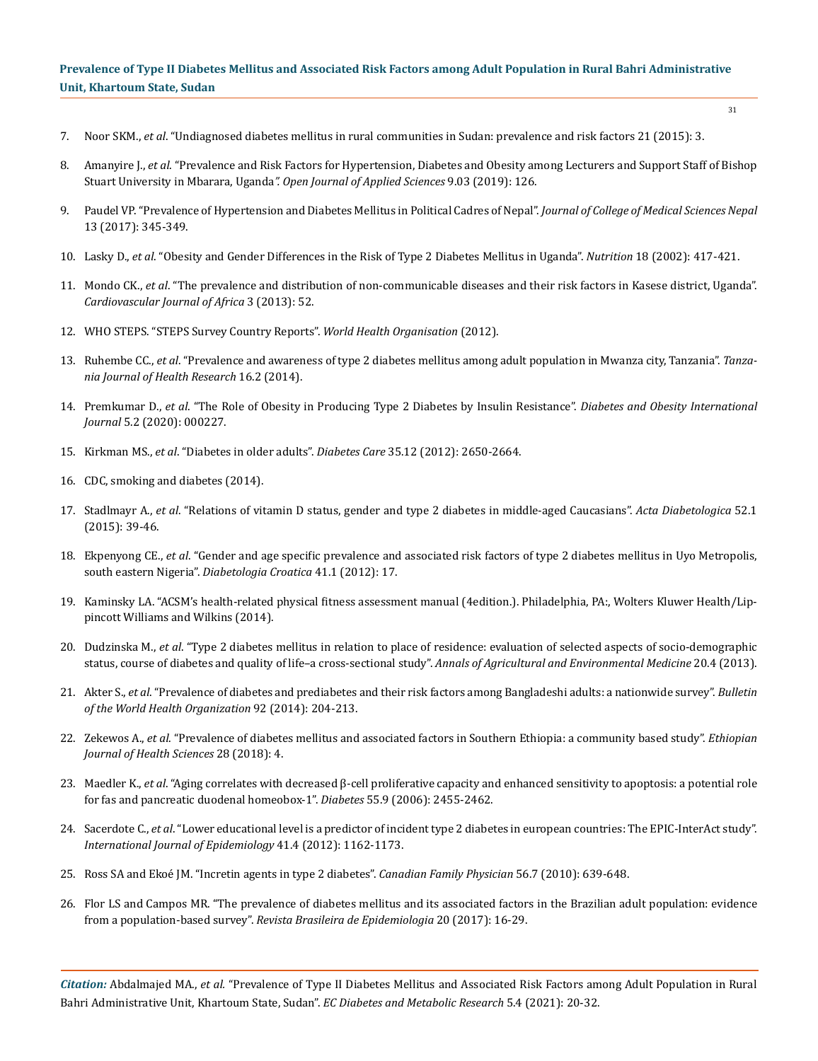- 7. Noor SKM., *et al*[. "Undiagnosed diabetes mellitus in rural communities in Sudan: prevalence and risk factors 21 \(2015\): 3.](http://www.emro.who.int/emhj-volume-21-2015/volume-21-issue-3/undiagnosed-diabetes-mellitus-in-rural-communities-in-sudan-prevalence-and-risk-factors.html)
- 8. Amanyire J., *et al*[. "Prevalence and Risk Factors for Hypertension, Diabetes and Obesity among Lecturers and Support Staff of Bishop](https://www.scirp.org/journal/paperinformation.aspx?paperid=91535)  Stuart University in Mbarara, Uganda*[". Open Journal of Applied Sciences](https://www.scirp.org/journal/paperinformation.aspx?paperid=91535)* 9.03 (2019): 126.
- 9. [Paudel VP. "Prevalence of Hypertension and Diabetes Mellitus in Political Cadres of Nepal".](https://www.researchgate.net/publication/320506707_Prevalence_of_Hypertension_and_Diabetes_Mellitus_in_Political_Cadres_of_Nepal) *Journal of College of Medical Sciences Nepal* [13 \(2017\): 345-349.](https://www.researchgate.net/publication/320506707_Prevalence_of_Hypertension_and_Diabetes_Mellitus_in_Political_Cadres_of_Nepal)
- 10. Lasky D., *et al*[. "Obesity and Gender Differences in the Risk of Type 2 Diabetes Mellitus in Uganda".](https://www.sciencedirect.com/science/article/abs/pii/S0899900701007262) *Nutrition* 18 (2002): 417-421.
- 11. Mondo CK., *et al*[. "The prevalence and distribution of non-communicable diseases and their risk factors in Kasese district, Uganda".](https://pubmed.ncbi.nlm.nih.gov/23736126/)  *[Cardiovascular Journal of Africa](https://pubmed.ncbi.nlm.nih.gov/23736126/)* 3 (2013): 52.
- 12. [WHO STEPS. "STEPS Survey Country Reports".](https://www.who.int/teams/noncommunicable-diseases/surveillance/systems-tools/steps) *World Health Organisation* (2012).
- 13. Ruhembe CC., *et al*[. "Prevalence and awareness of type 2 diabetes mellitus among adult population in Mwanza city, Tanzania".](https://www.researchgate.net/publication/285521226_Prevalence_and_awareness_of_type_2_diabetes_mellitus_among_adult_population_in_Mwanza_city_Tanzania) *Tanza[nia Journal of Health Research](https://www.researchgate.net/publication/285521226_Prevalence_and_awareness_of_type_2_diabetes_mellitus_among_adult_population_in_Mwanza_city_Tanzania)* 16.2 (2014).
- 14. Premkumar D., *et al*. "The Role of Obesity in Producing Type 2 Diabetes by Insulin Resistance". *Diabetes and Obesity International Journal* 5.2 (2020): 000227.
- 15. Kirkman MS., *et al*[. "Diabetes in older adults".](https://care.diabetesjournals.org/content/35/12/2650) *Diabetes Care* 35.12 (2012): 2650-2664.
- 16. [CDC, smoking and diabetes \(2014\).](https://www.cdc.gov/tobacco/campaign/tips/diseases/diabetes.html)
- 17. Stadlmayr A., *et al*[. "Relations of vitamin D status, gender and type 2 diabetes in middle-aged Caucasians".](https://pubmed.ncbi.nlm.nih.gov/24849007/) *Acta Diabetologica* 52.1 [\(2015\): 39-46.](https://pubmed.ncbi.nlm.nih.gov/24849007/)
- 18. Ekpenyong CE., *et al*[. "Gender and age specific prevalence and associated risk factors of type 2 diabetes mellitus in Uyo Metropolis,](https://go.gale.com/ps/anonymous?id=GALE%7CA289360911&sid=googleScholar&v=2.1&it=r&linkaccess=abs&issn=03510042&p=AONE&sw=w)  south eastern Nigeria". *[Diabetologia Croatica](https://go.gale.com/ps/anonymous?id=GALE%7CA289360911&sid=googleScholar&v=2.1&it=r&linkaccess=abs&issn=03510042&p=AONE&sw=w)* 41.1 (2012): 17.
- 19. [Kaminsky LA. "ACSM's health-related physical fitness assessment manual \(4edition.\). Philadelphia, PA:, Wolters Kluwer Health/Lip](https://www.acsm.org/read-research/books/acsms-health-related-physical-fitness-assessment-manual)[pincott Williams and Wilkins \(2014\).](https://www.acsm.org/read-research/books/acsms-health-related-physical-fitness-assessment-manual)
- 20. Dudzinska M., *et al*[. "Type 2 diabetes mellitus in relation to place of residence: evaluation of selected aspects of socio-demographic](https://pubmed.ncbi.nlm.nih.gov/24364471/)  [status, course of diabetes and quality of life–a cross-sectional study".](https://pubmed.ncbi.nlm.nih.gov/24364471/) *Annals of Agricultural and Environmental Medicine* 20.4 (2013).
- 21. Akter S., *et al*[. "Prevalence of diabetes and prediabetes and their risk factors among Bangladeshi adults: a nationwide survey".](https://www.ncbi.nlm.nih.gov/pmc/articles/PMC3949596/) *Bulletin [of the World Health Organization](https://www.ncbi.nlm.nih.gov/pmc/articles/PMC3949596/)* 92 (2014): 204-213.
- 22. Zekewos A., *et al*[. "Prevalence of diabetes mellitus and associated factors in Southern Ethiopia: a community based study".](https://www.researchgate.net/publication/330222964_Prevalence_of_Diabetes_Mellitus_and_Associated_Factors_in_Southern_Ethiopia_A_Community_Based_Study) *Ethiopian [Journal of Health Sciences](https://www.researchgate.net/publication/330222964_Prevalence_of_Diabetes_Mellitus_and_Associated_Factors_in_Southern_Ethiopia_A_Community_Based_Study)* 28 (2018): 4.
- 23. Maedler K., *et al*[. "Aging correlates with decreased β-cell proliferative capacity and enhanced sensitivity to apoptosis: a potential role](https://pubmed.ncbi.nlm.nih.gov/16936193/)  [for fas and pancreatic duodenal homeobox-1".](https://pubmed.ncbi.nlm.nih.gov/16936193/) *Diabetes* 55.9 (2006): 2455-2462.
- 24. Sacerdote C., *et al*[. "Lower educational level is a predictor of incident type 2 diabetes in european countries: The EPIC-InterAct study".](https://pubmed.ncbi.nlm.nih.gov/22736421/)  *[International Journal of Epidemiology](https://pubmed.ncbi.nlm.nih.gov/22736421/)* 41.4 (2012): 1162-1173.
- 25. [Ross SA and Ekoé JM. "Incretin agents in type 2 diabetes".](https://www.ncbi.nlm.nih.gov/pmc/articles/PMC2922799/) *Canadian Family Physician* 56.7 (2010): 639-648.
- 26. [Flor LS and Campos MR. "The prevalence of diabetes mellitus and its associated factors in the Brazilian adult population: evidence](https://pubmed.ncbi.nlm.nih.gov/28513791/)  from a population-based survey". *[Revista Brasileira de Epidemiologia](https://pubmed.ncbi.nlm.nih.gov/28513791/)* 20 (2017): 16-29.

*Citation:* Abdalmajed MA., *et al.* "Prevalence of Type II Diabetes Mellitus and Associated Risk Factors among Adult Population in Rural Bahri Administrative Unit, Khartoum State, Sudan". *EC Diabetes and Metabolic Research* 5.4 (2021): 20-32.